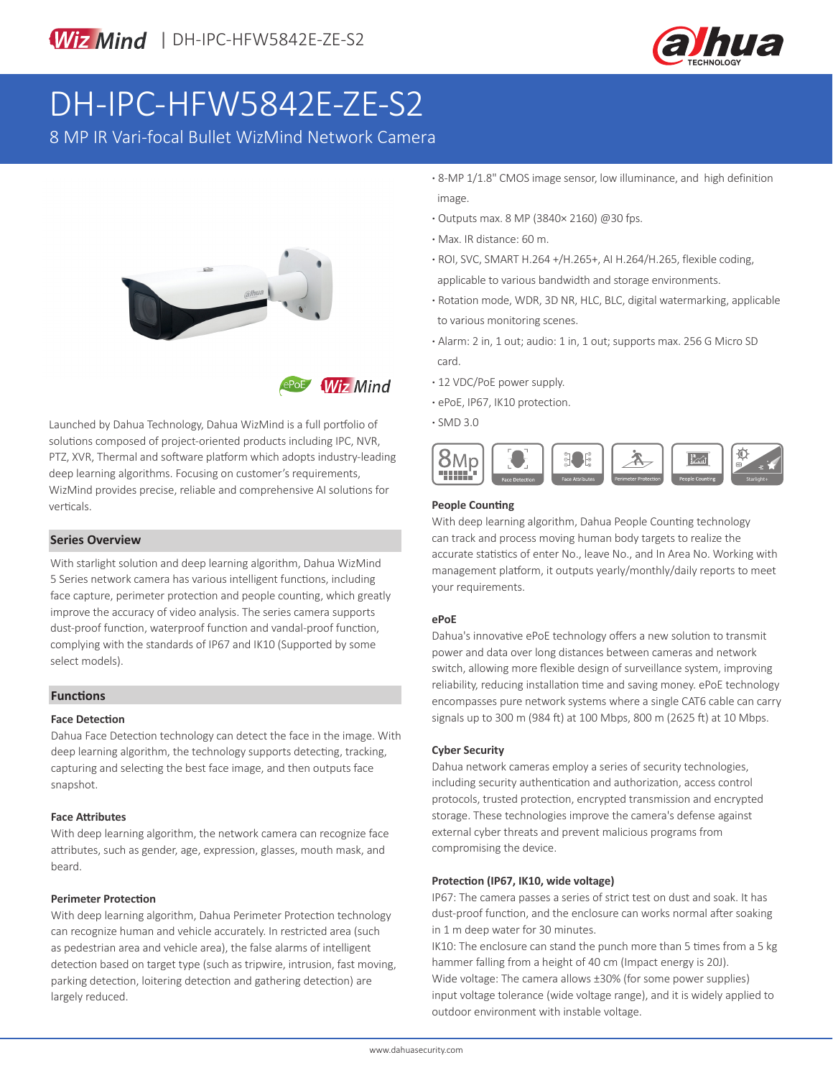

# DH-IPC-HFW5842E-ZE-S2

8 MP IR Vari-focal Bullet WizMind Network Camera



**Wiz Mind** 

Launched by Dahua Technology, Dahua WizMind is a full portfolio of solutions composed of project-oriented products including IPC, NVR, PTZ, XVR, Thermal and software platform which adopts industry-leading deep learning algorithms. Focusing on customer's requirements, WizMind provides precise, reliable and comprehensive AI solutions for verticals.

### **Series Overview**

With starlight solution and deep learning algorithm, Dahua WizMind 5 Series network camera has various intelligent functions, including face capture, perimeter protection and people counting, which greatly improve the accuracy of video analysis. The series camera supports dust-proof function, waterproof function and vandal-proof function, complying with the standards of IP67 and IK10 (Supported by some select models).

### **Functions**

### **Face Detection**

Dahua Face Detection technology can detect the face in the image. With deep learning algorithm, the technology supports detecting, tracking, capturing and selecting the best face image, and then outputs face snapshot.

### **Face Attributes**

With deep learning algorithm, the network camera can recognize face attributes, such as gender, age, expression, glasses, mouth mask, and beard.

### **Perimeter Protection**

With deep learning algorithm, Dahua Perimeter Protection technology can recognize human and vehicle accurately. In restricted area (such as pedestrian area and vehicle area), the false alarms of intelligent detection based on target type (such as tripwire, intrusion, fast moving, parking detection, loitering detection and gathering detection) are largely reduced.

- **·** 8-MP 1/1.8" CMOS image sensor, low illuminance, and high definition image.
- **·** Outputs max. 8 MP (3840× 2160) @30 fps.
- **·** Max. IR distance: 60 m.
- **·** ROI, SVC, SMART H.264 +/H.265+, AI H.264/H.265, flexible coding, applicable to various bandwidth and storage environments.
- **·** Rotation mode, WDR, 3D NR, HLC, BLC, digital watermarking, applicable to various monitoring scenes.
- **·** Alarm: 2 in, 1 out; audio: 1 in, 1 out; supports max. 256 G Micro SD card.
- **·** 12 VDC/PoE power supply.
- **·** ePoE, IP67, IK10 protection.
- **·** SMD 3.0



### **People Counting**

With deep learning algorithm, Dahua People Counting technology can track and process moving human body targets to realize the accurate statistics of enter No., leave No., and In Area No. Working with management platform, it outputs yearly/monthly/daily reports to meet your requirements.

### **ePoE**

Dahua's innovative ePoE technology offers a new solution to transmit power and data over long distances between cameras and network switch, allowing more flexible design of surveillance system, improving reliability, reducing installation time and saving money. ePoE technology encompasses pure network systems where a single CAT6 cable can carry signals up to 300 m (984 ft) at 100 Mbps, 800 m (2625 ft) at 10 Mbps.

### **Cyber Security**

Dahua network cameras employ a series of security technologies, including security authentication and authorization, access control protocols, trusted protection, encrypted transmission and encrypted storage. These technologies improve the camera's defense against external cyber threats and prevent malicious programs from compromising the device.

### **Protection (IP67, IK10, wide voltage)**

IP67: The camera passes a series of strict test on dust and soak. It has dust-proof function, and the enclosure can works normal after soaking in 1 m deep water for 30 minutes.

IK10: The enclosure can stand the punch more than 5 times from a 5 kg hammer falling from a height of 40 cm (Impact energy is 20J). Wide voltage: The camera allows ±30% (for some power supplies) input voltage tolerance (wide voltage range), and it is widely applied to outdoor environment with instable voltage.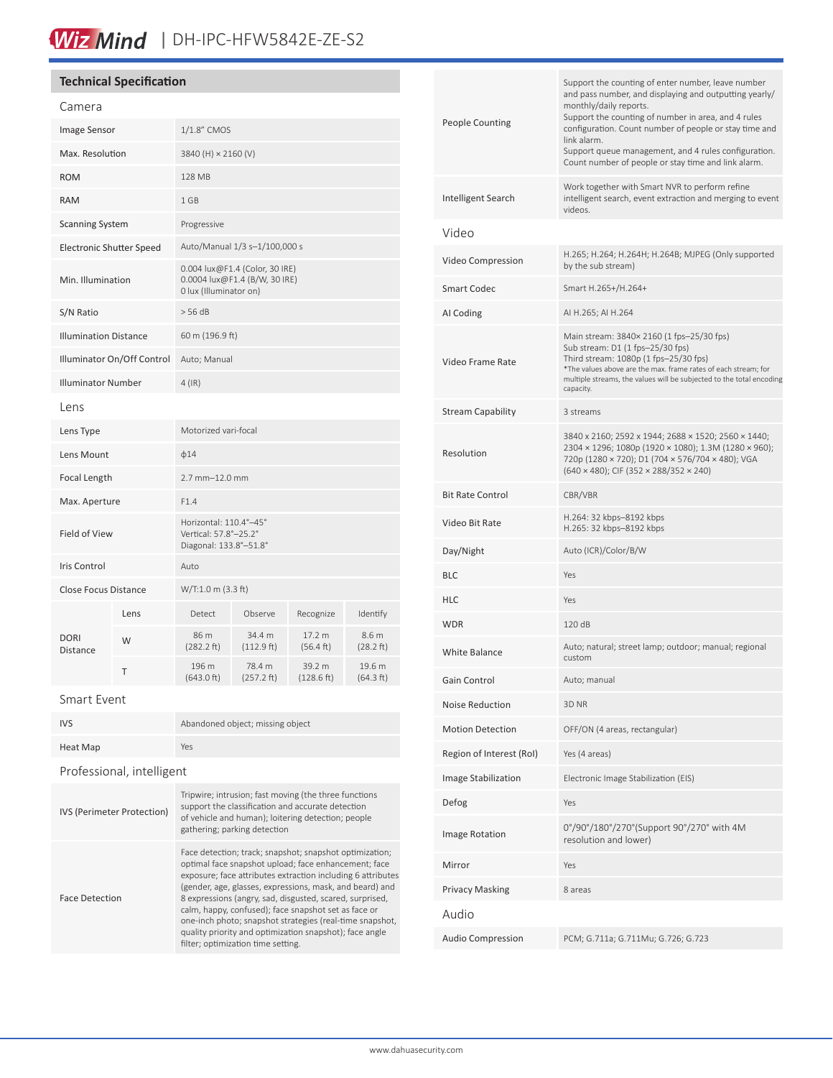## Wiz Mind | DH-IPC-HFW5842E-ZE-S2

### **Technical Specification**

| Camera                          |      |                                                                                           |                      |                      |                     |
|---------------------------------|------|-------------------------------------------------------------------------------------------|----------------------|----------------------|---------------------|
| Image Sensor                    |      | 1/1.8" CMOS                                                                               |                      |                      |                     |
| Max. Resolution                 |      | 3840 (H) × 2160 (V)                                                                       |                      |                      |                     |
| <b>ROM</b>                      |      | <b>128 MB</b>                                                                             |                      |                      |                     |
| <b>RAM</b>                      |      | 1 GB                                                                                      |                      |                      |                     |
| <b>Scanning System</b>          |      | Progressive                                                                               |                      |                      |                     |
| <b>Electronic Shutter Speed</b> |      | Auto/Manual 1/3 s-1/100,000 s                                                             |                      |                      |                     |
| Min. Illumination               |      | 0.004 lux@F1.4 (Color, 30 IRE)<br>0.0004 lux@F1.4 (B/W, 30 IRE)<br>0 lux (Illuminator on) |                      |                      |                     |
| S/N Ratio                       |      | $>$ 56 dB                                                                                 |                      |                      |                     |
| <b>Illumination Distance</b>    |      | 60 m (196.9 ft)                                                                           |                      |                      |                     |
| Illuminator On/Off Control      |      | Auto; Manual                                                                              |                      |                      |                     |
| <b>Illuminator Number</b>       |      | $4$ (IR)                                                                                  |                      |                      |                     |
| Lens                            |      |                                                                                           |                      |                      |                     |
| Lens Type                       |      | Motorized vari-focal                                                                      |                      |                      |                     |
| Lens Mount                      |      | $\phi$ 14                                                                                 |                      |                      |                     |
| Focal Length                    |      | $2.7$ mm $-12.0$ mm                                                                       |                      |                      |                     |
| Max. Aperture                   |      | F1.4                                                                                      |                      |                      |                     |
| <b>Field of View</b>            |      | Horizontal: 110.4°-45°<br>Vertical: 57.8°-25.2°<br>Diagonal: 133.8°-51.8°                 |                      |                      |                     |
| Iris Control                    |      | Auto                                                                                      |                      |                      |                     |
| <b>Close Focus Distance</b>     |      | W/T:1.0 m (3.3 ft)                                                                        |                      |                      |                     |
| DORI<br>Distance                | Lens | Detect                                                                                    | Observe              | Recognize            | Identify            |
|                                 | W    | 86 m<br>(282.2 ft)                                                                        | 34.4 m<br>(112.9 ft) | 17.2 m<br>(56.4 ft)  | 8.6 m<br>(28.2 ft)  |
|                                 | T    | 196 m<br>(643.0 ft)                                                                       | 78.4 m<br>(257.2 ft) | 39.2 m<br>(128.6 ft) | 19.6 m<br>(64.3 ft) |
|                                 |      |                                                                                           |                      |                      |                     |

Smart Event

| <b>IVS</b> | Abandoned object; missing object |  |
|------------|----------------------------------|--|
| Heat Map   | Yes                              |  |

### Professional, intelligent

| IVS (Perimeter Protection) | Tripwire; intrusion; fast moving (the three functions<br>support the classification and accurate detection<br>of vehicle and human); loitering detection; people<br>gathering; parking detection                                                                                                                                                                                                                                                                                                                            |
|----------------------------|-----------------------------------------------------------------------------------------------------------------------------------------------------------------------------------------------------------------------------------------------------------------------------------------------------------------------------------------------------------------------------------------------------------------------------------------------------------------------------------------------------------------------------|
| <b>Face Detection</b>      | Face detection; track; snapshot; snapshot optimization;<br>optimal face snapshot upload; face enhancement; face<br>exposure; face attributes extraction including 6 attributes<br>(gender, age, glasses, expressions, mask, and beard) and<br>8 expressions (angry, sad, disgusted, scared, surprised,<br>calm, happy, confused); face snapshot set as face or<br>one-inch photo; snapshot strategies (real-time snapshot,<br>quality priority and optimization snapshot); face angle<br>filter; optimization time setting. |

| <b>People Counting</b>   | Support the counting of enter number, leave number<br>and pass number, and displaying and outputting yearly/<br>monthly/daily reports.<br>Support the counting of number in area, and 4 rules<br>configuration. Count number of people or stay time and<br>link alarm.<br>Support queue management, and 4 rules configuration.<br>Count number of people or stay time and link alarm. |
|--------------------------|---------------------------------------------------------------------------------------------------------------------------------------------------------------------------------------------------------------------------------------------------------------------------------------------------------------------------------------------------------------------------------------|
| Intelligent Search       | Work together with Smart NVR to perform refine<br>intelligent search, event extraction and merging to event<br>videos.                                                                                                                                                                                                                                                                |
| Video                    |                                                                                                                                                                                                                                                                                                                                                                                       |
| Video Compression        | H.265; H.264; H.264H; H.264B; MJPEG (Only supported<br>by the sub stream)                                                                                                                                                                                                                                                                                                             |
| Smart Codec              | Smart H.265+/H.264+                                                                                                                                                                                                                                                                                                                                                                   |
| AI Coding                | AI H.265; AI H.264                                                                                                                                                                                                                                                                                                                                                                    |
| Video Frame Rate         | Main stream: 3840× 2160 (1 fps-25/30 fps)<br>Sub stream: D1 (1 fps-25/30 fps)<br>Third stream: 1080p (1 fps-25/30 fps)<br>*The values above are the max. frame rates of each stream; for<br>multiple streams, the values will be subjected to the total encoding<br>capacity.                                                                                                         |
| Stream Capability        | 3 streams                                                                                                                                                                                                                                                                                                                                                                             |
| Resolution               | 3840 x 2160; 2592 x 1944; 2688 × 1520; 2560 × 1440;<br>2304 × 1296; 1080p (1920 × 1080); 1.3M (1280 × 960);<br>720p (1280 × 720); D1 (704 × 576/704 × 480); VGA<br>$(640 \times 480)$ ; CIF $(352 \times 288/352 \times 240)$                                                                                                                                                         |
| <b>Bit Rate Control</b>  | CBR/VBR                                                                                                                                                                                                                                                                                                                                                                               |
| Video Bit Rate           | H.264: 32 kbps-8192 kbps<br>H.265: 32 kbps-8192 kbps                                                                                                                                                                                                                                                                                                                                  |
| Day/Night                | Auto (ICR)/Color/B/W                                                                                                                                                                                                                                                                                                                                                                  |
| BLC                      | Yes                                                                                                                                                                                                                                                                                                                                                                                   |
| HLC                      | Yes                                                                                                                                                                                                                                                                                                                                                                                   |
| WDR                      | 120 dB                                                                                                                                                                                                                                                                                                                                                                                |
| White Balance            | Auto; natural; street lamp; outdoor; manual; regional<br>custom                                                                                                                                                                                                                                                                                                                       |
| Gain Control             | Auto; manual                                                                                                                                                                                                                                                                                                                                                                          |
| <b>Noise Reduction</b>   | 3D <sub>NR</sub>                                                                                                                                                                                                                                                                                                                                                                      |
| <b>Motion Detection</b>  | OFF/ON (4 areas, rectangular)                                                                                                                                                                                                                                                                                                                                                         |
| Region of Interest (RoI) | Yes (4 areas)                                                                                                                                                                                                                                                                                                                                                                         |
| Image Stabilization      | Electronic Image Stabilization (EIS)                                                                                                                                                                                                                                                                                                                                                  |
| Defog                    | Yes                                                                                                                                                                                                                                                                                                                                                                                   |
| <b>Image Rotation</b>    | 0°/90°/180°/270°(Support 90°/270° with 4M<br>resolution and lower)                                                                                                                                                                                                                                                                                                                    |
| Mirror                   | Yes                                                                                                                                                                                                                                                                                                                                                                                   |
| <b>Privacy Masking</b>   | 8 areas                                                                                                                                                                                                                                                                                                                                                                               |
| Audio                    |                                                                                                                                                                                                                                                                                                                                                                                       |
| <b>Audio Compression</b> | PCM; G.711a; G.711Mu; G.726; G.723                                                                                                                                                                                                                                                                                                                                                    |
|                          |                                                                                                                                                                                                                                                                                                                                                                                       |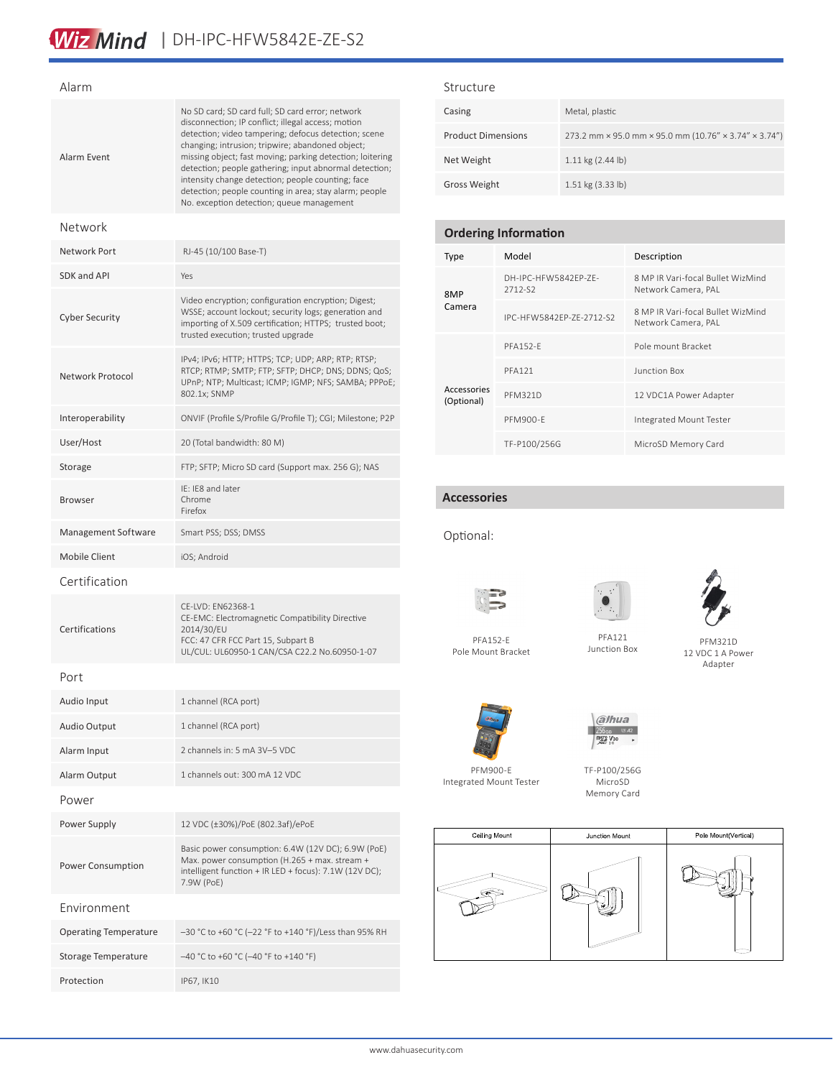### Alarm

| Alarm Fvent           | No SD card; SD card full; SD card error; network<br>disconnection; IP conflict; illegal access; motion<br>detection; video tampering; defocus detection; scene<br>changing; intrusion; tripwire; abandoned object;<br>missing object; fast moving; parking detection; loitering<br>detection; people gathering; input abnormal detection;<br>intensity change detection; people counting; face<br>detection; people counting in area; stay alarm; people<br>No. exception detection; queue management |  |
|-----------------------|-------------------------------------------------------------------------------------------------------------------------------------------------------------------------------------------------------------------------------------------------------------------------------------------------------------------------------------------------------------------------------------------------------------------------------------------------------------------------------------------------------|--|
| Network               |                                                                                                                                                                                                                                                                                                                                                                                                                                                                                                       |  |
| Network Port          | RJ-45 (10/100 Base-T)                                                                                                                                                                                                                                                                                                                                                                                                                                                                                 |  |
| SDK and API           | Yes                                                                                                                                                                                                                                                                                                                                                                                                                                                                                                   |  |
| <b>Cyber Security</b> | Video encryption; configuration encryption; Digest;<br>WSSE; account lockout; security logs; generation and<br>importing of X.509 certification; HTTPS; trusted boot;<br>trusted execution; trusted upgrade                                                                                                                                                                                                                                                                                           |  |
| Network Protocol      | IPv4; IPv6; HTTP; HTTPS; TCP; UDP; ARP; RTP; RTSP;<br>RTCP; RTMP; SMTP; FTP; SFTP; DHCP; DNS; DDNS; QoS;<br>UPnP; NTP; Multicast; ICMP; IGMP; NFS; SAMBA; PPPoE;<br>802.1x; SNMP                                                                                                                                                                                                                                                                                                                      |  |
| Interoperability      | ONVIF (Profile S/Profile G/Profile T); CGI; Milestone; P2P                                                                                                                                                                                                                                                                                                                                                                                                                                            |  |
| User/Host             | 20 (Total bandwidth: 80 M)                                                                                                                                                                                                                                                                                                                                                                                                                                                                            |  |
| Storage               | FTP; SFTP; Micro SD card (Support max. 256 G); NAS                                                                                                                                                                                                                                                                                                                                                                                                                                                    |  |

IE: IE8 and later Chrome Firefox

CE-LVD: EN62368-1

2014/30/EU

CE-EMC: Electromagnetic Compatibility Directive

UL/CUL: UL60950-1 CAN/CSA C22.2 No.60950-1-07

FCC: 47 CFR FCC Part 15, Subpart B

Management Software Smart PSS; DSS; DMSS

Audio Input 1 channel (RCA port)

Mobile Client iOS; Android

#### Structure

| Casing                    | Metal, plastic                                        |
|---------------------------|-------------------------------------------------------|
| <b>Product Dimensions</b> | 273.2 mm × 95.0 mm × 95.0 mm (10.76" × 3.74" × 3.74") |
| Net Weight                | $1.11$ kg $(2.44$ lb)                                 |
| <b>Gross Weight</b>       | 1.51 kg (3.33 lb)                                     |

### **Ordering Information**

| Type                      | Model                           | Description                                              |
|---------------------------|---------------------------------|----------------------------------------------------------|
| 8MP<br>Camera             | DH-IPC-HFW5842FP-ZF-<br>2712-S2 | 8 MP IR Vari-focal Bullet WizMind<br>Network Camera, PAL |
|                           | IPC-HFW5842FP-7F-2712-S2        | 8 MP IR Vari-focal Bullet WizMind<br>Network Camera, PAL |
| Accessories<br>(Optional) | <b>PFA152-F</b>                 | Pole mount Bracket                                       |
|                           | <b>PFA121</b>                   | Junction Box                                             |
|                           | <b>PFM321D</b>                  | 12 VDC1A Power Adapter                                   |
|                           | PFM900-F                        | Integrated Mount Tester                                  |
|                           | TF-P100/256G                    | MicroSD Memory Card                                      |

### **Accessories**

Optional:







PFA152-E Pole Mount Bracket

PFA121 Junction Box

PFM321D 12 VDC 1 A Power Adapter



PFM900-E Integrated Mount Tester TF-P100/256G MicroSD

a/hua  $256<sub>GB</sub>$   $242$  $\frac{\text{msgs}}{\text{sec}} \frac{\text{V30}}{\text{18}}$ 

Memory Card



| Celling Mount | Junction Mount | Pole Mount(Vertical) |  |
|---------------|----------------|----------------------|--|
|               |                |                      |  |

Port

Browser

Certification

Certifications

| <b>Audio Output</b>          | 1 channel (RCA port)                                                                                                                                                        |  |
|------------------------------|-----------------------------------------------------------------------------------------------------------------------------------------------------------------------------|--|
| Alarm Input                  | 2 channels in: 5 mA 3V-5 VDC                                                                                                                                                |  |
| Alarm Output                 | 1 channels out: 300 mA 12 VDC                                                                                                                                               |  |
| Power                        |                                                                                                                                                                             |  |
| Power Supply                 | 12 VDC (±30%)/PoE (802.3af)/ePoE                                                                                                                                            |  |
| <b>Power Consumption</b>     | Basic power consumption: 6.4W (12V DC); 6.9W (PoE)<br>Max. power consumption (H.265 + max. stream +<br>intelligent function + IR LED + focus): 7.1W (12V DC);<br>7.9W (PoE) |  |
| Fnvironment                  |                                                                                                                                                                             |  |
| <b>Operating Temperature</b> | -30 °C to +60 °C (-22 °F to +140 °F)/Less than 95% RH                                                                                                                       |  |
| Storage Temperature          | $-40$ °C to +60 °C (-40 °F to +140 °F)                                                                                                                                      |  |
| Protection                   | IP67, IK10                                                                                                                                                                  |  |